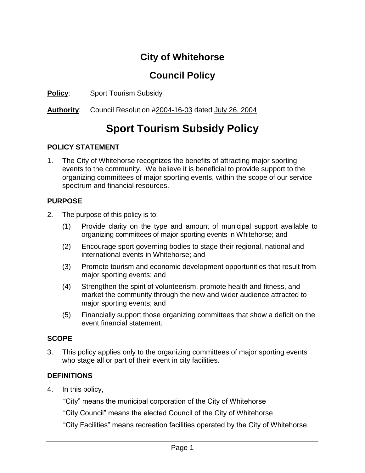## **City of Whitehorse**

### **Council Policy**

**Policy**: Sport Tourism Subsidy

**Authority**: Council Resolution #2004-16-03 dated July 26, 2004

# **Sport Tourism Subsidy Policy**

#### **POLICY STATEMENT**

1. The City of Whitehorse recognizes the benefits of attracting major sporting events to the community. We believe it is beneficial to provide support to the organizing committees of major sporting events, within the scope of our service spectrum and financial resources.

#### **PURPOSE**

- 2. The purpose of this policy is to:
	- (1) Provide clarity on the type and amount of municipal support available to organizing committees of major sporting events in Whitehorse; and
	- (2) Encourage sport governing bodies to stage their regional, national and international events in Whitehorse; and
	- (3) Promote tourism and economic development opportunities that result from major sporting events; and
	- (4) Strengthen the spirit of volunteerism, promote health and fitness, and market the community through the new and wider audience attracted to major sporting events; and
	- (5) Financially support those organizing committees that show a deficit on the event financial statement.

#### **SCOPE**

3. This policy applies only to the organizing committees of major sporting events who stage all or part of their event in city facilities.

#### **DEFINITIONS**

4. In this policy,

"City" means the municipal corporation of the City of Whitehorse

"City Council" means the elected Council of the City of Whitehorse

"City Facilities" means recreation facilities operated by the City of Whitehorse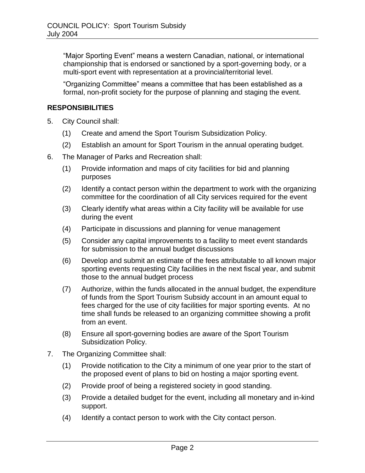"Major Sporting Event" means a western Canadian, national, or international championship that is endorsed or sanctioned by a sport-governing body, or a multi-sport event with representation at a provincial/territorial level.

"Organizing Committee" means a committee that has been established as a formal, non-profit society for the purpose of planning and staging the event.

#### **RESPONSIBILITIES**

- 5. City Council shall:
	- (1) Create and amend the Sport Tourism Subsidization Policy.
	- (2) Establish an amount for Sport Tourism in the annual operating budget.
- 6. The Manager of Parks and Recreation shall:
	- (1) Provide information and maps of city facilities for bid and planning purposes
	- (2) Identify a contact person within the department to work with the organizing committee for the coordination of all City services required for the event
	- (3) Clearly identify what areas within a City facility will be available for use during the event
	- (4) Participate in discussions and planning for venue management
	- (5) Consider any capital improvements to a facility to meet event standards for submission to the annual budget discussions
	- (6) Develop and submit an estimate of the fees attributable to all known major sporting events requesting City facilities in the next fiscal year, and submit those to the annual budget process
	- (7) Authorize, within the funds allocated in the annual budget, the expenditure of funds from the Sport Tourism Subsidy account in an amount equal to fees charged for the use of city facilities for major sporting events. At no time shall funds be released to an organizing committee showing a profit from an event.
	- (8) Ensure all sport-governing bodies are aware of the Sport Tourism Subsidization Policy.
- 7. The Organizing Committee shall:
	- (1) Provide notification to the City a minimum of one year prior to the start of the proposed event of plans to bid on hosting a major sporting event.
	- (2) Provide proof of being a registered society in good standing.
	- (3) Provide a detailed budget for the event, including all monetary and in-kind support.
	- (4) Identify a contact person to work with the City contact person.